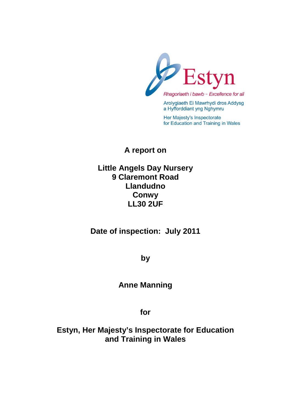

Arolygiaeth Ei Mawrhydi dros Addysg a Hyfforddiant yng Nghymru

Her Majesty's Inspectorate for Education and Training in Wales

**A report on**

# **Little Angels Day Nursery 9 Claremont Road Llandudno Conwy LL30 2UF**

**Date of inspection: July 2011**

**by**

# **Anne Manning**

**for**

**Estyn, Her Majesty's Inspectorate for Education and Training in Wales**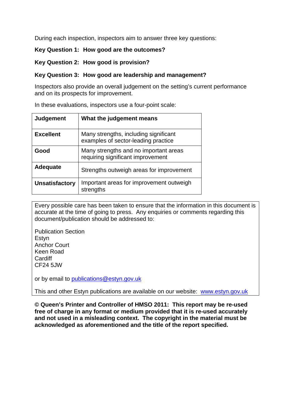During each inspection, inspectors aim to answer three key questions:

#### **Key Question 1: How good are the outcomes?**

#### **Key Question 2: How good is provision?**

#### **Key Question 3: How good are leadership and management?**

Inspectors also provide an overall judgement on the setting's current performance and on its prospects for improvement.

In these evaluations, inspectors use a four-point scale:

| <b>Judgement</b>      | What the judgement means                                                     |  |
|-----------------------|------------------------------------------------------------------------------|--|
| <b>Excellent</b>      | Many strengths, including significant<br>examples of sector-leading practice |  |
| Good                  | Many strengths and no important areas<br>requiring significant improvement   |  |
| <b>Adequate</b>       | Strengths outweigh areas for improvement                                     |  |
| <b>Unsatisfactory</b> | Important areas for improvement outweigh<br>strengths                        |  |

Every possible care has been taken to ensure that the information in this document is accurate at the time of going to press. Any enquiries or comments regarding this document/publication should be addressed to:

Publication Section Estyn Anchor Court Keen Road **Cardiff** CF24 5JW

or by email to [publications@estyn.gov.uk](mailto:publications@estyn.gov.uk)

This and other Estyn publications are available on our website: [www.estyn.gov.uk](http://www.estyn.gov.uk/)

**© Queen's Printer and Controller of HMSO 2011: This report may be re-used free of charge in any format or medium provided that it is re-used accurately and not used in a misleading context. The copyright in the material must be acknowledged as aforementioned and the title of the report specified.**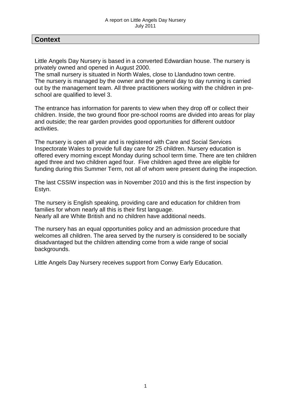## **Context**

Little Angels Day Nursery is based in a converted Edwardian house. The nursery is privately owned and opened in August 2000.

The small nursery is situated in North Wales, close to Llandudno town centre. The nursery is managed by the owner and the general day to day running is carried out by the management team. All three practitioners working with the children in preschool are qualified to level 3.

The entrance has information for parents to view when they drop off or collect their children. Inside, the two ground floor pre-school rooms are divided into areas for play and outside; the rear garden provides good opportunities for different outdoor activities.

The nursery is open all year and is registered with Care and Social Services Inspectorate Wales to provide full day care for 25 children. Nursery education is offered every morning except Monday during school term time. There are ten children aged three and two children aged four. Five children aged three are eligible for funding during this Summer Term, not all of whom were present during the inspection.

The last CSSIW inspection was in November 2010 and this is the first inspection by Estyn.

The nursery is English speaking, providing care and education for children from families for whom nearly all this is their first language. Nearly all are White British and no children have additional needs.

The nursery has an equal opportunities policy and an admission procedure that welcomes all children. The area served by the nursery is considered to be socially disadvantaged but the children attending come from a wide range of social backgrounds.

Little Angels Day Nursery receives support from Conwy Early Education.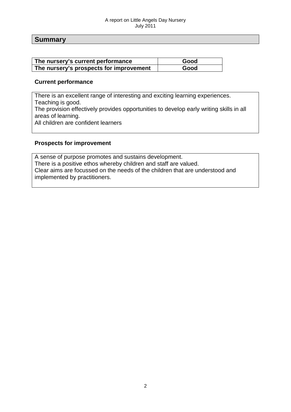#### A report on Little Angels Day Nursery July 2011

## **Summary**

| The nursery's current performance       | Good |
|-----------------------------------------|------|
| The nursery's prospects for improvement | Good |

#### **Current performance**

There is an excellent range of interesting and exciting learning experiences. Teaching is good. The provision effectively provides opportunities to develop early writing skills in all areas of learning. All children are confident learners

#### **Prospects for improvement**

A sense of purpose promotes and sustains development. There is a positive ethos whereby children and staff are valued. Clear aims are focussed on the needs of the children that are understood and implemented by practitioners.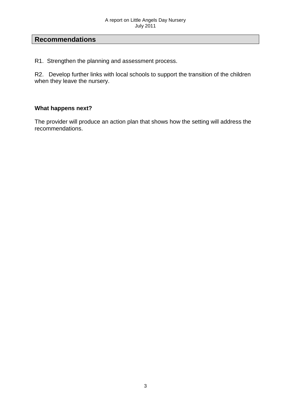## **Recommendations**

R1. Strengthen the planning and assessment process.

R2. Develop further links with local schools to support the transition of the children when they leave the nursery.

## **What happens next?**

The provider will produce an action plan that shows how the setting will address the recommendations.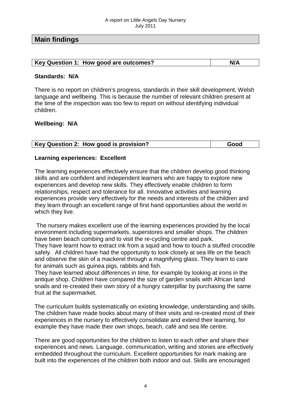## **Main findings**

| Key Question 1: How good are outcomes? |  |
|----------------------------------------|--|

#### **Standards: N/A**

There is no report on children's progress, standards in their skill development, Welsh language and wellbeing. This is because the number of relevant children present at the time of the inspection was too few to report on without identifying individual children.

#### **Wellbeing: N/A**

|  | Key Question 2: How good is provision? | Good |
|--|----------------------------------------|------|

#### **Learning experiences: Excellent**

The learning experiences effectively ensure that the children develop good thinking skills and are confident and independent learners who are happy to explore new experiences and develop new skills. They effectively enable children to form relationships, respect and tolerance for all. Innovative activities and learning experiences provide very effectively for the needs and interests of the children and they learn through an excellent range of first hand opportunities about the world in which they live.

The nursery makes excellent use of the learning experiences provided by the local environment including supermarkets, superstores and smaller shops. The children have been beach combing and to visit the re-cycling centre and park. They have learnt how to extract ink from a squid and how to touch a stuffed crocodile safely. All children have had the opportunity to look closely at sea life on the beach

and observe the skin of a mackerel through a magnifying glass. They learn to care for animals such as guinea pigs, rabbits and fish.

They have learned about differences in time, for example by looking at irons in the antique shop. Children have compared the size of garden snails with African land snails and re-created their own story of a hungry caterpillar by purchasing the same fruit at the supermarket.

The curriculum builds systematically on existing knowledge, understanding and skills. The children have made books about many of their visits and re-created most of their experiences in the nursery to effectively consolidate and extend their learning, for example they have made their own shops, beach, café and sea life centre.

There are good opportunities for the children to listen to each other and share their experiences and news. Language, communication, writing and stories are effectively embedded throughout the curriculum. Excellent opportunities for mark making are built into the experiences of the children both indoor and out. Skills are encouraged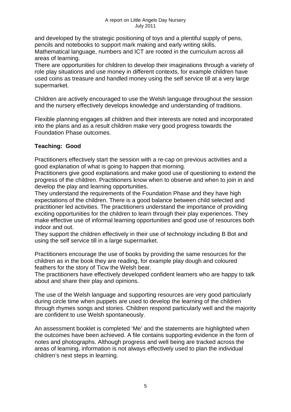and developed by the strategic positioning of toys and a plentiful supply of pens, pencils and notebooks to support mark making and early writing skills. Mathematical language, numbers and ICT are rooted in the curriculum across all areas of learning.

There are opportunities for children to develop their imaginations through a variety of role play situations and use money in different contexts, for example children have used coins as treasure and handled money using the self service till at a very large supermarket.

Children are actively encouraged to use the Welsh language throughout the session and the nursery effectively develops knowledge and understanding of traditions.

Flexible planning engages all children and their interests are noted and incorporated into the plans and as a result children make very good progress towards the Foundation Phase outcomes.

## **Teaching: Good**

Practitioners effectively start the session with a re-cap on previous activities and a good explanation of what is going to happen that morning.

Practitioners give good explanations and make good use of questioning to extend the progress of the children. Practitioners know when to observe and when to join in and develop the play and learning opportunities.

They understand the requirements of the Foundation Phase and they have high expectations of the children. There is a good balance between child selected and practitioner led activities. The practitioners understand the importance of providing exciting opportunities for the children to learn through their play experiences. They make effective use of informal learning opportunities and good use of resources both indoor and out.

They support the children effectively in their use of technology including B Bot and using the self service till in a large supermarket.

Practitioners encourage the use of books by providing the same resources for the children as in the book they are reading, for example play dough and coloured feathers for the story of Ticw the Welsh bear.

The practitioners have effectively developed confident learners who are happy to talk about and share their play and opinions.

The use of the Welsh language and supporting resources are very good particularly during circle time when puppets are used to develop the learning of the children through rhymes songs and stories. Children respond particularly well and the majority are confident to use Welsh spontaneously.

An assessment booklet is completed 'Me' and the statements are highlighted when the outcomes have been achieved. A file contains supporting evidence in the form of notes and photographs. Although progress and well being are tracked across the areas of learning, information is not always effectively used to plan the individual children's next steps in learning.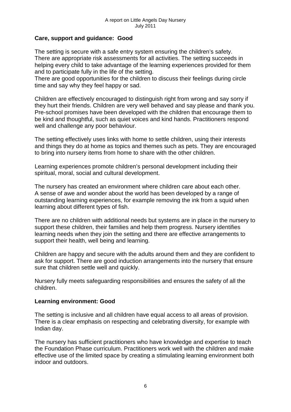## **Care, support and guidance: Good**

The setting is secure with a safe entry system ensuring the children's safety. There are appropriate risk assessments for all activities. The setting succeeds in helping every child to take advantage of the learning experiences provided for them and to participate fully in the life of the setting.

There are good opportunities for the children to discuss their feelings during circle time and say why they feel happy or sad.

Children are effectively encouraged to distinguish right from wrong and say sorry if they hurt their friends. Children are very well behaved and say please and thank you. Pre-school promises have been developed with the children that encourage them to be kind and thoughtful, such as quiet voices and kind hands. Practitioners respond well and challenge any poor behaviour.

The setting effectively uses links with home to settle children, using their interests and things they do at home as topics and themes such as pets. They are encouraged to bring into nursery items from home to share with the other children.

Learning experiences promote children's personal development including their spiritual, moral, social and cultural development.

The nursery has created an environment where children care about each other. A sense of awe and wonder about the world has been developed by a range of outstanding learning experiences, for example removing the ink from a squid when learning about different types of fish.

There are no children with additional needs but systems are in place in the nursery to support these children, their families and help them progress. Nursery identifies learning needs when they join the setting and there are effective arrangements to support their health, well being and learning.

Children are happy and secure with the adults around them and they are confident to ask for support. There are good induction arrangements into the nursery that ensure sure that children settle well and quickly.

Nursery fully meets safeguarding responsibilities and ensures the safety of all the children.

#### **Learning environment: Good**

The setting is inclusive and all children have equal access to all areas of provision. There is a clear emphasis on respecting and celebrating diversity, for example with Indian day.

The nursery has sufficient practitioners who have knowledge and expertise to teach the Foundation Phase curriculum. Practitioners work well with the children and make effective use of the limited space by creating a stimulating learning environment both indoor and outdoors.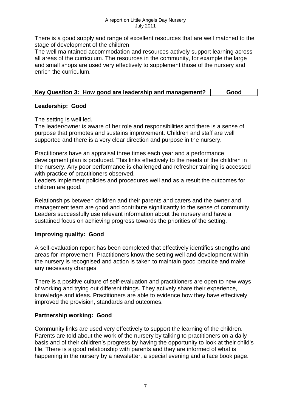There is a good supply and range of excellent resources that are well matched to the stage of development of the children.

The well maintained accommodation and resources actively support learning across all areas of the curriculum. The resources in the community, for example the large and small shops are used very effectively to supplement those of the nursery and enrich the curriculum.

|  | Key Question 3: How good are leadership and management? | Good |
|--|---------------------------------------------------------|------|
|--|---------------------------------------------------------|------|

## **Leadership: Good**

The setting is well led.

The leader/owner is aware of her role and responsibilities and there is a sense of purpose that promotes and sustains improvement. Children and staff are well supported and there is a very clear direction and purpose in the nursery.

Practitioners have an appraisal three times each year and a performance development plan is produced. This links effectively to the needs of the children in the nursery. Any poor performance is challenged and refresher training is accessed with practice of practitioners observed.

Leaders implement policies and procedures well and as a result the outcomes for children are good.

Relationships between children and their parents and carers and the owner and management team are good and contribute significantly to the sense of community. Leaders successfully use relevant information about the nursery and have a sustained focus on achieving progress towards the priorities of the setting.

## **Improving quality: Good**

A self-evaluation report has been completed that effectively identifies strengths and areas for improvement. Practitioners know the setting well and development within the nursery is recognised and action is taken to maintain good practice and make any necessary changes.

There is a positive culture of self-evaluation and practitioners are open to new ways of working and trying out different things. They actively share their experience, knowledge and ideas. Practitioners are able to evidence how they have effectively improved the provision, standards and outcomes.

## **Partnership working: Good**

Community links are used very effectively to support the learning of the children. Parents are told about the work of the nursery by talking to practitioners on a daily basis and of their children's progress by having the opportunity to look at their child's file. There is a good relationship with parents and they are informed of what is happening in the nursery by a newsletter, a special evening and a face book page.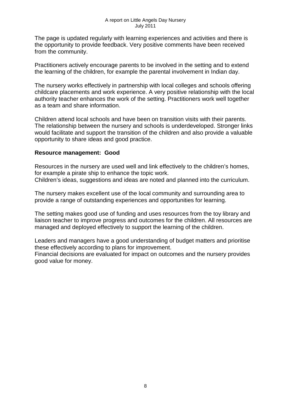The page is updated regularly with learning experiences and activities and there is the opportunity to provide feedback. Very positive comments have been received from the community.

Practitioners actively encourage parents to be involved in the setting and to extend the learning of the children, for example the parental involvement in Indian day.

The nursery works effectively in partnership with local colleges and schools offering childcare placements and work experience. A very positive relationship with the local authority teacher enhances the work of the setting. Practitioners work well together as a team and share information.

Children attend local schools and have been on transition visits with their parents. The relationship between the nursery and schools is underdeveloped. Stronger links would facilitate and support the transition of the children and also provide a valuable opportunity to share ideas and good practice.

### **Resource management: Good**

Resources in the nursery are used well and link effectively to the children's homes, for example a pirate ship to enhance the topic work. Children's ideas, suggestions and ideas are noted and planned into the curriculum.

The nursery makes excellent use of the local community and surrounding area to provide a range of outstanding experiences and opportunities for learning.

The setting makes good use of funding and uses resources from the toy library and liaison teacher to improve progress and outcomes for the children. All resources are managed and deployed effectively to support the learning of the children.

Leaders and managers have a good understanding of budget matters and prioritise these effectively according to plans for improvement.

Financial decisions are evaluated for impact on outcomes and the nursery provides good value for money.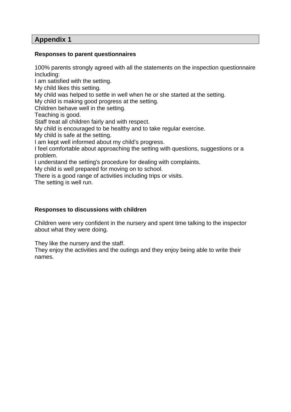## **Appendix 1**

### **Responses to parent questionnaires**

100% parents strongly agreed with all the statements on the inspection questionnaire Including:

I am satisfied with the setting.

My child likes this setting.

My child was helped to settle in well when he or she started at the setting.

My child is making good progress at the setting.

Children behave well in the setting.

Teaching is good.

Staff treat all children fairly and with respect.

My child is encouraged to be healthy and to take regular exercise.

My child is safe at the setting.

I am kept well informed about my child's progress.

I feel comfortable about approaching the setting with questions, suggestions or a problem.

I understand the setting's procedure for dealing with complaints.

My child is well prepared for moving on to school.

There is a good range of activities including trips or visits.

The setting is well run.

## **Responses to discussions with children**

Children were very confident in the nursery and spent time talking to the inspector about what they were doing.

They like the nursery and the staff.

They enjoy the activities and the outings and they enjoy being able to write their names.